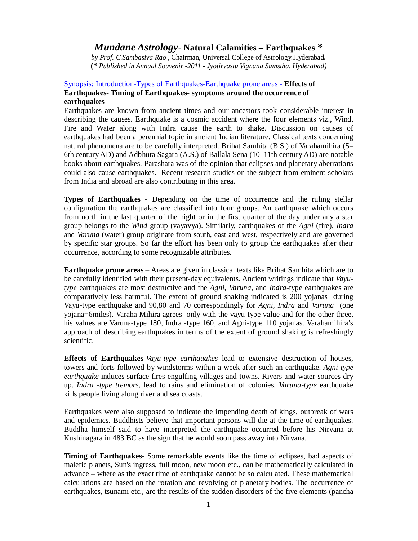# *Mundane Astrology-* **Natural Calamities – Earthquakes \***

*by Prof. C.Sambasiva Rao* , Chairman, Universal College of Astrology.Hyderabad**. (\*** *Published in Annual Souvenir -2011 - Jyotirvastu Vignana Samstha, Hyderabad)*

## Synopsis: Introduction-Types of Earthquakes-Earthquake prone areas - **Effects of Earthquakes- Timing of Earthquakes- symptoms around the occurrence of earthquakes-**

Earthquakes are known from ancient times and our ancestors took considerable interest in describing the causes. Earthquake is a cosmic accident where the four elements viz., Wind, Fire and Water along with Indra cause the earth to shake. Discussion on causes of earthquakes had been a perennial topic in ancient Indian literature. Classical texts concerning natural phenomena are to be carefully interpreted. Brihat Samhita (B.S.) of Varahamihira (5– 6th century AD) and Adbhuta Sagara (A.S.) of Ballala Sena (10–11th century AD) are notable books about earthquakes. Parashara was of the opinion that eclipses and planetary aberrations could also cause earthquakes. Recent research studies on the subject from eminent scholars from India and abroad are also contributing in this area.

**Types of Earthquakes** - Depending on the time of occurrence and the ruling stellar configuration the earthquakes are classified into four groups. An earthquake which occurs from north in the last quarter of the night or in the first quarter of the day under any a star group belongs to the *Wind* group (vayavya). Similarly, earthquakes of the *Agni* (fire), *Indra* and *Varuna* (water) group originate from south, east and west, respectively and are governed by specific star groups. So far the effort has been only to group the earthquakes after their occurrence, according to some recognizable attributes.

**Earthquake prone areas** – Areas are given in classical texts like Brihat Samhita which are to be carefully identified with their present-day equivalents. Ancient writings indicate that *Vayutype* earthquakes are most destructive and the *Agni*, *Varuna*, and *Indra*-type earthquakes are comparatively less harmful. The extent of ground shaking indicated is 200 yojanas during Vayu-type earthquake and 90,80 and 70 correspondingly for *Agni, Indra* and *Varuna* (one yojana=6miles). Varaha Mihira agrees only with the vayu-type value and for the other three, his values are Varuna-type 180, Indra -type 160, and Agni-type 110 yojanas. Varahamihira's approach of describing earthquakes in terms of the extent of ground shaking is refreshingly scientific.

**Effects of Earthquakes-***Vayu-type earthquakes* lead to extensive destruction of houses, towers and forts followed by windstorms within a week after such an earthquake. *Agni-type earthquake* induces surface fires engulfing villages and towns. Rivers and water sources dry up. *Indra -type tremors*, lead to rains and elimination of colonies. *Varuna-type* earthquake kills people living along river and sea coasts.

Earthquakes were also supposed to indicate the impending death of kings, outbreak of wars and epidemics. Buddhists believe that important persons will die at the time of earthquakes. Buddha himself said to have interpreted the earthquake occurred before his Nirvana at Kushinagara in 483 BC as the sign that he would soon pass away into Nirvana.

**Timing of Earthquakes-** Some remarkable events like the time of eclipses, bad aspects of malefic planets, Sun's ingress, full moon, new moon etc., can be mathematically calculated in advance – where as the exact time of earthquake cannot be so calculated. These mathematical calculations are based on the rotation and revolving of planetary bodies. The occurrence of earthquakes, tsunami etc., are the results of the sudden disorders of the five elements (pancha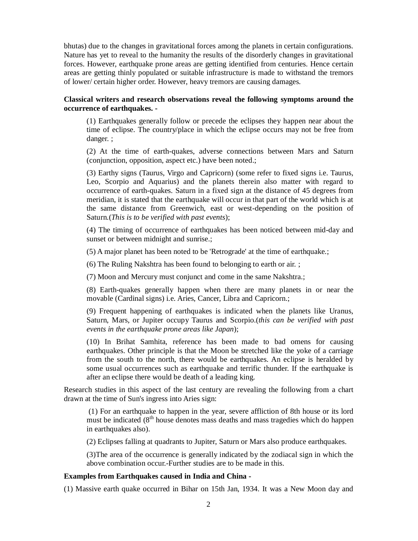bhutas) due to the changes in gravitational forces among the planets in certain configurations. Nature has yet to reveal to the humanity the results of the disorderly changes in gravitational forces. However, earthquake prone areas are getting identified from centuries. Hence certain areas are getting thinly populated or suitable infrastructure is made to withstand the tremors of lower/ certain higher order. However, heavy tremors are causing damages.

## **Classical writers and research observations reveal the following symptoms around the occurrence of earthquakes. -**

(1) Earthquakes generally follow or precede the eclipses they happen near about the time of eclipse. The country/place in which the eclipse occurs may not be free from danger. ;

(2) At the time of earth-quakes, adverse connections between Mars and Saturn (conjunction, opposition, aspect etc.) have been noted.;

(3) Earthy signs (Taurus, Virgo and Capricorn) (some refer to fixed signs i.e. Taurus, Leo, Scorpio and Aquarius) and the planets therein also matter with regard to occurrence of earth-quakes. Saturn in a fixed sign at the distance of 45 degrees from meridian, it is stated that the earthquake will occur in that part of the world which is at the same distance from Greenwich, east or west-depending on the position of Saturn.(*This is to be verified with past events*);

(4) The timing of occurrence of earthquakes has been noticed between mid-day and sunset or between midnight and sunrise.;

(5) A major planet has been noted to be 'Retrograde' at the time of earthquake.;

(6) The Ruling Nakshtra has been found to belonging to earth or air. ;

(7) Moon and Mercury must conjunct and come in the same Nakshtra.;

(8) Earth-quakes generally happen when there are many planets in or near the movable (Cardinal signs) i.e. Aries, Cancer, Libra and Capricorn.;

(9) Frequent happening of earthquakes is indicated when the planets like Uranus, Saturn, Mars, or Jupiter occupy Taurus and Scorpio.(*this can be verified with past events in the earthquake prone areas like Japan*);

(10) In Brihat Samhita, reference has been made to bad omens for causing earthquakes. Other principle is that the Moon be stretched like the yoke of a carriage from the south to the north, there would be earthquakes. An eclipse is heralded by some usual occurrences such as earthquake and terrific thunder. If the earthquake is after an eclipse there would be death of a leading king.

Research studies in this aspect of the last century are revealing the following from a chart drawn at the time of Sun's ingress into Aries sign:

(1) For an earthquake to happen in the year, severe affliction of 8th house or its lord must be indicated (8<sup>th</sup> house denotes mass deaths and mass tragedies which do happen in earthquakes also).

(2) Eclipses falling at quadrants to Jupiter, Saturn or Mars also produce earthquakes.

(3)The area of the occurrence is generally indicated by the zodiacal sign in which the above combination occur.-Further studies are to be made in this.

### **Examples from Earthquakes caused in India and China -**

(1) Massive earth quake occurred in Bihar on 15th Jan, 1934. It was a New Moon day and